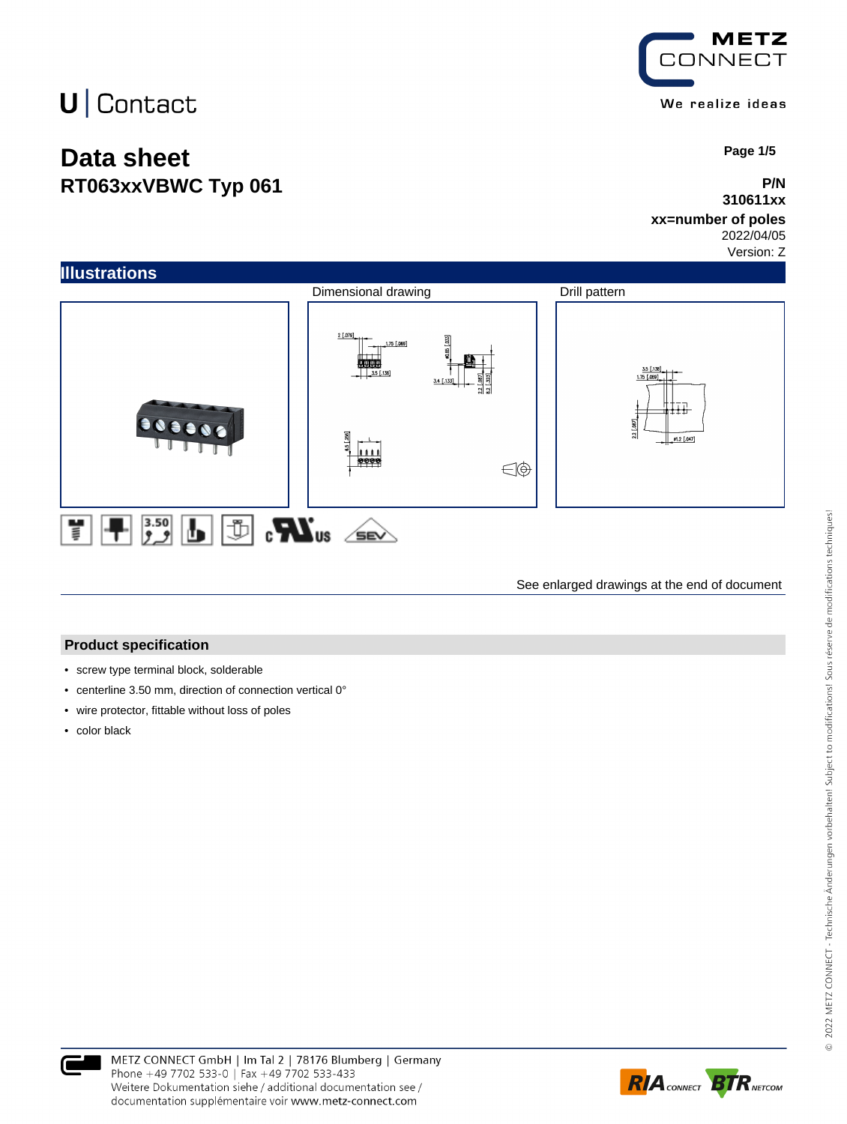## **Data sheet RT063xxVBWC Typ 061**



 **Page 1/5**

### **P/N 310611xx**

### **xx=number of poles**

2022/04/05 Version: Z



See enlarged drawings at the end of document

#### **Product specification**

- screw type terminal block, solderable
- centerline 3.50 mm, direction of connection vertical 0°
- wire protector, fittable without loss of poles
- color black

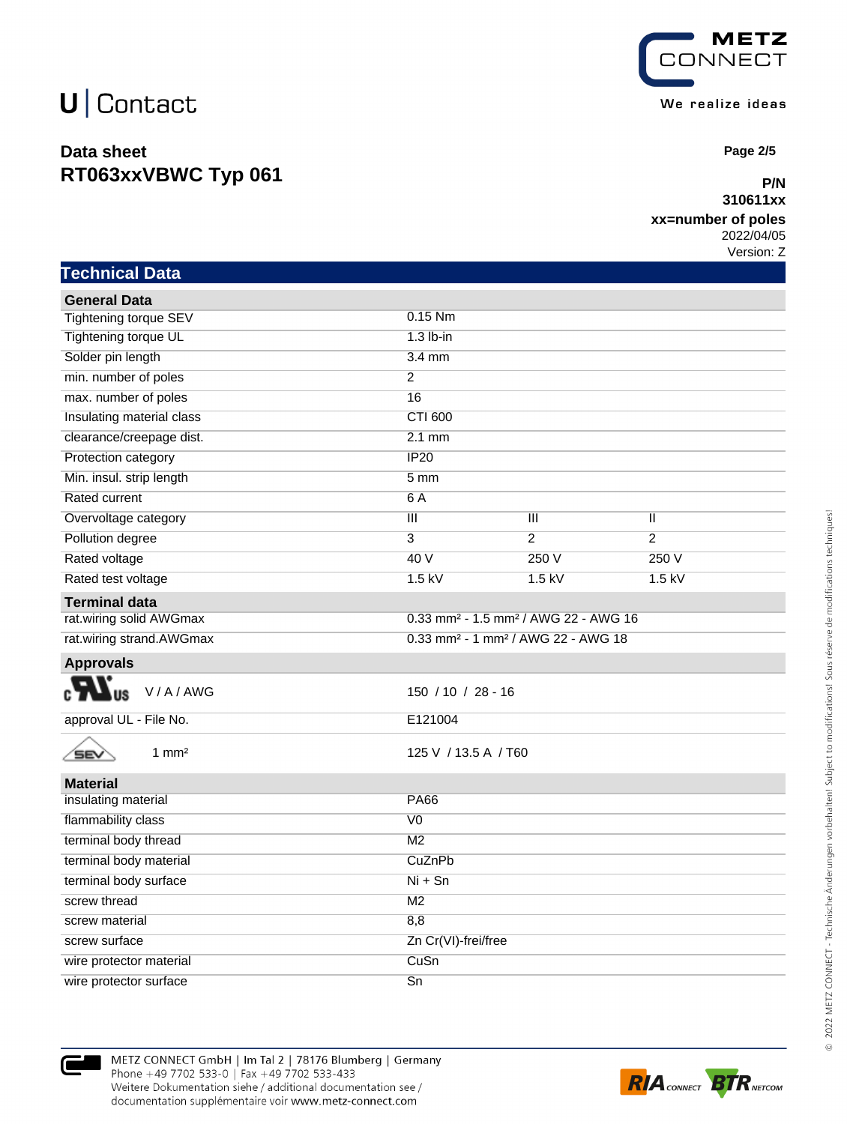### **Data sheet RT063xxVBWC Typ 061**



 **Page 2/5**

#### **P/N 310611xx**

#### **xx=number of poles**

2022/04/05 Version: Z

| <b>Technical Data</b>          |                                                              |                |                |  |
|--------------------------------|--------------------------------------------------------------|----------------|----------------|--|
| <b>General Data</b>            |                                                              |                |                |  |
| <b>Tightening torque SEV</b>   | $0.15$ Nm                                                    |                |                |  |
| Tightening torque UL           | $1.3$ lb-in                                                  |                |                |  |
| Solder pin length              | $3.4$ mm                                                     |                |                |  |
| min. number of poles           | $\overline{2}$                                               |                |                |  |
| max. number of poles           | 16                                                           |                |                |  |
| Insulating material class      | CTI 600                                                      |                |                |  |
| clearance/creepage dist.       | $2.1$ mm                                                     |                |                |  |
| Protection category            | <b>IP20</b>                                                  |                |                |  |
| Min. insul. strip length       | 5 <sub>mm</sub>                                              |                |                |  |
| <b>Rated current</b>           | 6A                                                           |                |                |  |
| Overvoltage category           | $\overline{\mathsf{III}}$                                    | Ш              | Ш              |  |
| Pollution degree               | $\overline{3}$                                               | $\overline{2}$ | $\overline{2}$ |  |
| Rated voltage                  | 40V                                                          | 250 V          | 250 V          |  |
| Rated test voltage             | $1.5$ kV                                                     | $1.5$ kV       | $1.5$ kV       |  |
| <b>Terminal data</b>           |                                                              |                |                |  |
| rat.wiring solid AWGmax        | 0.33 mm <sup>2</sup> - 1.5 mm <sup>2</sup> / AWG 22 - AWG 16 |                |                |  |
| rat.wiring strand.AWGmax       | 0.33 mm <sup>2</sup> - 1 mm <sup>2</sup> / AWG 22 - AWG 18   |                |                |  |
| <b>Approvals</b>               |                                                              |                |                |  |
| V/A/AWG<br>US                  | 150 / 10 / 28 - 16                                           |                |                |  |
| approval UL - File No.         | E121004                                                      |                |                |  |
| $1 \text{ mm}^2$<br><b>SEV</b> | 125 V / 13.5 A / T60                                         |                |                |  |
| <b>Material</b>                |                                                              |                |                |  |
| insulating material            | <b>PA66</b>                                                  |                |                |  |
| flammability class             | $\overline{V}$                                               |                |                |  |
| terminal body thread           | M <sub>2</sub>                                               |                |                |  |
| terminal body material         | CuZnPb                                                       |                |                |  |
| terminal body surface          | $Ni + Sn$                                                    |                |                |  |
| screw thread                   | M <sub>2</sub>                                               |                |                |  |
| screw material                 | 8,8                                                          |                |                |  |
| screw surface                  | Zn Cr(VI)-frei/free                                          |                |                |  |
| wire protector material        | CuSn                                                         |                |                |  |

wire protector surface Sn

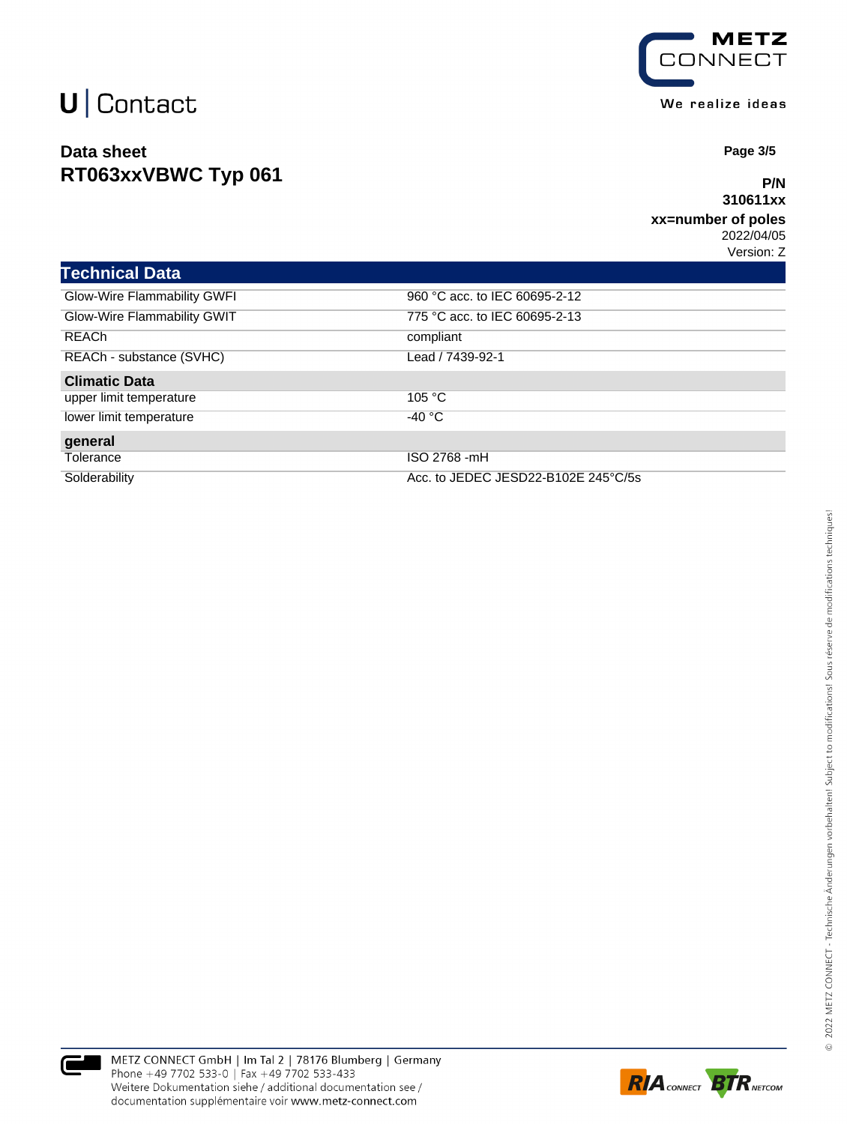### **Data sheet RT063xxVBWC Typ 061**



 **Page 3/5**

#### **P/N 310611xx**

#### **xx=number of poles** 2022/04/05

Version: Z

| <b>Technical Data</b>       |                                     |
|-----------------------------|-------------------------------------|
| Glow-Wire Flammability GWFI | 960 °C acc. to IEC 60695-2-12       |
| Glow-Wire Flammability GWIT | 775 °C acc. to IEC 60695-2-13       |
| <b>REACh</b>                | compliant                           |
| REACh - substance (SVHC)    | Lead / 7439-92-1                    |
| <b>Climatic Data</b>        |                                     |
| upper limit temperature     | 105 °C                              |
| lower limit temperature     | $-40 °C$                            |
| general                     |                                     |
| Tolerance                   | ISO 2768 -mH                        |
| Solderability               | Acc. to JEDEC JESD22-B102E 245°C/5s |



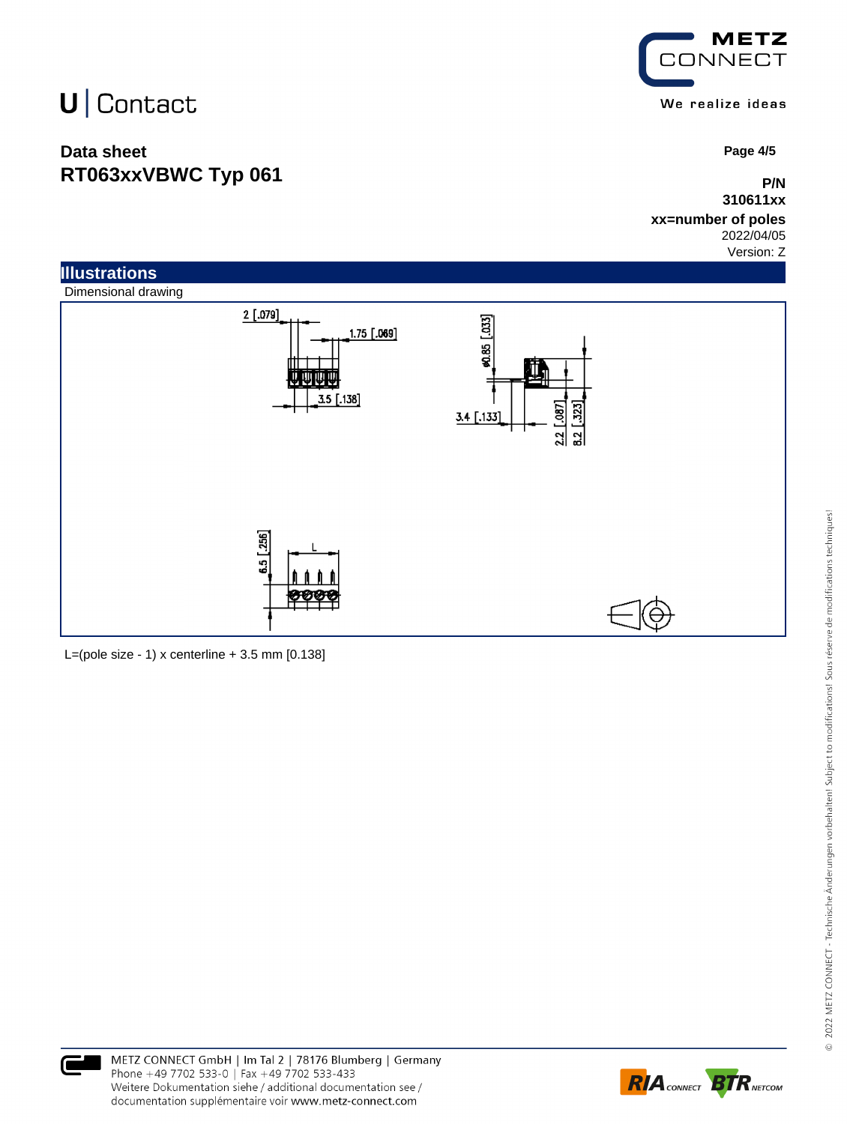# U | Contact

### **Data sheet RT063xxVBWC Typ 061**

**METZ CONNECT** We realize ideas

 **Page 4/5**

**P/N 310611xx**

**xx=number of poles** 2022/04/05

Version: Z



L=(pole size - 1) x centerline  $+3.5$  mm  $[0.138]$